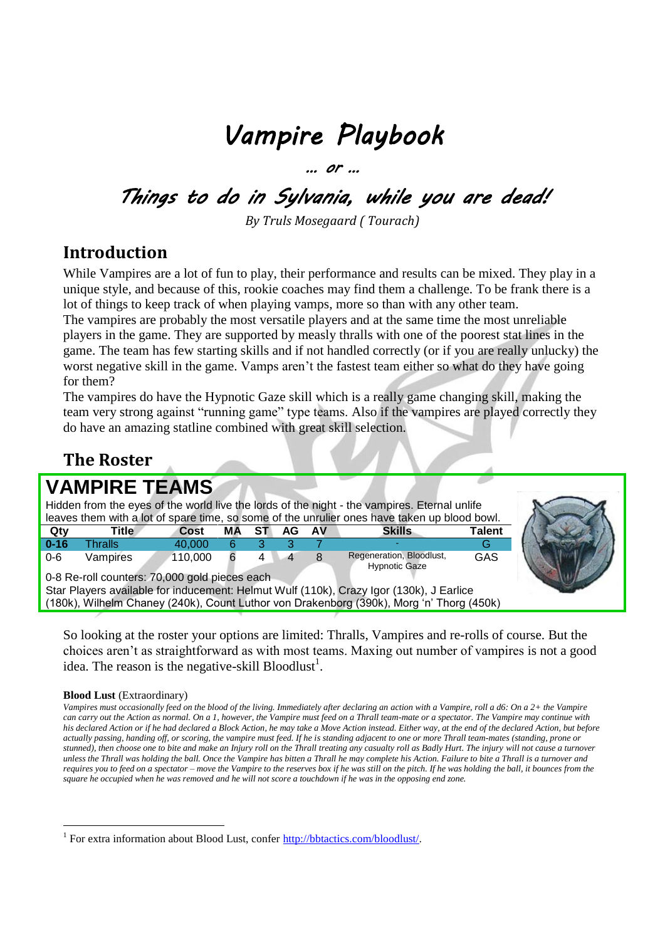# *Vampire Playbook*

# *… or …*

# *Things to do in Sylvania, while you are dead!*

*By Truls Mosegaard ( Tourach)*

# **Introduction**

While Vampires are a lot of fun to play, their performance and results can be mixed. They play in a unique style, and because of this, rookie coaches may find them a challenge. To be frank there is a lot of things to keep track of when playing vamps, more so than with any other team.

The vampires are probably the most versatile players and at the same time the most unreliable players in the game. They are supported by measly thralls with one of the poorest stat lines in the game. The team has few starting skills and if not handled correctly (or if you are really unlucky) the worst negative skill in the game. Vamps aren't the fastest team either so what do they have going for them?

The vampires do have the Hypnotic Gaze skill which is a really game changing skill, making the team very strong against "running game" type teams. Also if the vampires are played correctly they do have an amazing statline combined with great skill selection.

# **The Roster**

| <b>VAMPIRE TEAMS</b>                                                                         |                |         |    |    |     |    |                                                  |            |  |
|----------------------------------------------------------------------------------------------|----------------|---------|----|----|-----|----|--------------------------------------------------|------------|--|
| Hidden from the eyes of the world live the lords of the night - the vampires. Eternal unlife |                |         |    |    |     |    |                                                  |            |  |
| leaves them with a lot of spare time, so some of the unrulier ones have taken up blood bowl. |                |         |    |    |     |    |                                                  |            |  |
| Qty                                                                                          | <b>Title</b>   | Cost    | МA | SТ | AG. | AV | <b>Skills</b>                                    | Talent     |  |
| $0 - 16$                                                                                     | <b>Thralls</b> | 40,000  | 6  |    |     |    |                                                  | G          |  |
| $0-6$                                                                                        | Vampires       | 110,000 | 6  |    |     |    | Regeneration, Bloodlust,<br><b>Hypnotic Gaze</b> | <b>GAS</b> |  |
| 0-8 Re-roll counters: 70,000 gold pieces each                                                |                |         |    |    |     |    |                                                  |            |  |
| Star Players available for inducement: Helmut Wulf (110k), Crazy Igor (130k), J Earlice      |                |         |    |    |     |    |                                                  |            |  |
| (180k), Wilhelm Chaney (240k), Count Luthor von Drakenborg (390k), Morg 'n' Thorg (450k)     |                |         |    |    |     |    |                                                  |            |  |

So looking at the roster your options are limited: Thralls, Vampires and re-rolls of course. But the choices aren't as straightforward as with most teams. Maxing out number of vampires is not a good idea. The reason is the negative-skill Bloodlust<sup>1</sup>.

#### **Blood Lust** (Extraordinary)

1

*Vampires must occasionally feed on the blood of the living. Immediately after declaring an action with a Vampire, roll a d6: On a 2+ the Vampire can carry out the Action as normal. On a 1, however, the Vampire must feed on a Thrall team-mate or a spectator. The Vampire may continue with his declared Action or if he had declared a Block Action, he may take a Move Action instead. Either way, at the end of the declared Action, but before actually passing, handing off, or scoring, the vampire must feed. If he is standing adjacent to one or more Thrall team-mates (standing, prone or stunned), then choose one to bite and make an Injury roll on the Thrall treating any casualty roll as Badly Hurt. The injury will not cause a turnover unless the Thrall was holding the ball. Once the Vampire has bitten a Thrall he may complete his Action. Failure to bite a Thrall is a turnover and requires you to feed on a spectator – move the Vampire to the reserves box if he was still on the pitch. If he was holding the ball, it bounces from the square he occupied when he was removed and he will not score a touchdown if he was in the opposing end zone.*

<sup>&</sup>lt;sup>1</sup> For extra information about Blood Lust, confer [http://bbtactics.com/bloodlust/.](http://bbtactics.com/bloodlust/)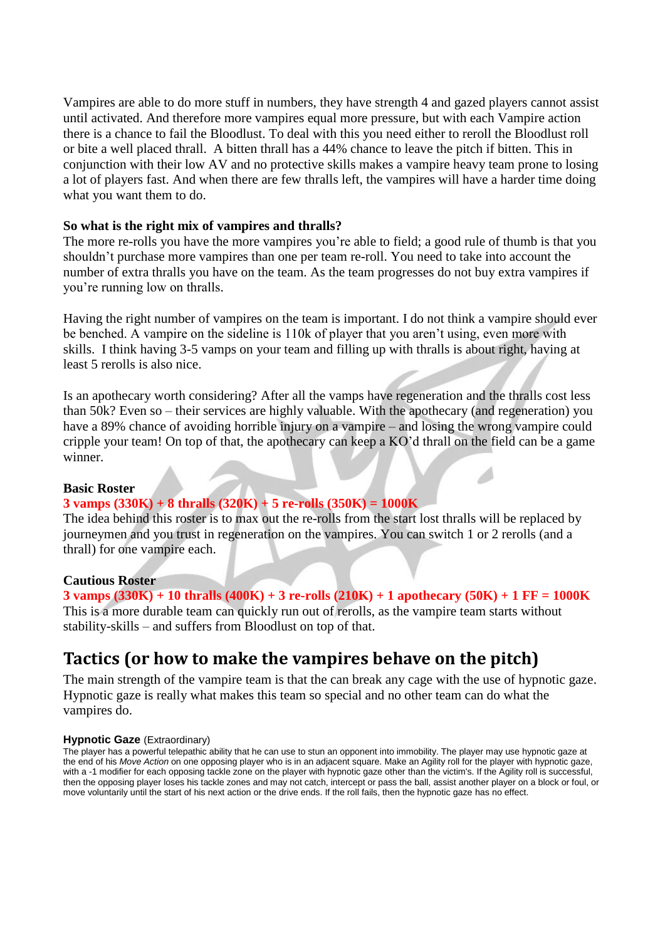Vampires are able to do more stuff in numbers, they have strength 4 and gazed players cannot assist until activated. And therefore more vampires equal more pressure, but with each Vampire action there is a chance to fail the Bloodlust. To deal with this you need either to reroll the Bloodlust roll or bite a well placed thrall. A bitten thrall has a 44% chance to leave the pitch if bitten. This in conjunction with their low AV and no protective skills makes a vampire heavy team prone to losing a lot of players fast. And when there are few thralls left, the vampires will have a harder time doing what you want them to do.

### **So what is the right mix of vampires and thralls?**

The more re-rolls you have the more vampires you're able to field; a good rule of thumb is that you shouldn't purchase more vampires than one per team re-roll. You need to take into account the number of extra thralls you have on the team. As the team progresses do not buy extra vampires if you're running low on thralls.

Having the right number of vampires on the team is important. I do not think a vampire should ever be benched. A vampire on the sideline is 110k of player that you aren't using, even more with skills. I think having 3-5 vamps on your team and filling up with thralls is about right, having at least 5 rerolls is also nice.

Is an apothecary worth considering? After all the vamps have regeneration and the thralls cost less than 50k? Even so – their services are highly valuable. With the apothecary (and regeneration) you have a 89% chance of avoiding horrible injury on a vampire – and losing the wrong vampire could cripple your team! On top of that, the apothecary can keep a KO'd thrall on the field can be a game winner.

#### **Basic Roster**

# **3 vamps (330K) + 8 thralls (320K) + 5 re-rolls (350K) = 1000K**

The idea behind this roster is to max out the re-rolls from the start lost thralls will be replaced by journeymen and you trust in regeneration on the vampires. You can switch 1 or 2 rerolls (and a thrall) for one vampire each.

#### **Cautious Roster**

**3 vamps (330K) + 10 thralls (400K) + 3 re-rolls (210K) + 1 apothecary (50K) + 1 FF = 1000K** This is a more durable team can quickly run out of rerolls, as the vampire team starts without stability-skills – and suffers from Bloodlust on top of that.

# **Tactics (or how to make the vampires behave on the pitch)**

The main strength of the vampire team is that the can break any cage with the use of hypnotic gaze. Hypnotic gaze is really what makes this team so special and no other team can do what the vampires do.

#### **Hypnotic Gaze** (Extraordinary)

The player has a powerful telepathic ability that he can use to stun an opponent into immobility. The player may use hypnotic gaze at the end of his *Move Action* on one opposing player who is in an adjacent square. Make an Agility roll for the player with hypnotic gaze, with a -1 modifier for each opposing tackle zone on the player with hypnotic gaze other than the victim's. If the Agility roll is successful, then the opposing player loses his tackle zones and may not catch, intercept or pass the ball, assist another player on a block or foul, or move voluntarily until the start of his next action or the drive ends. If the roll fails, then the hypnotic gaze has no effect.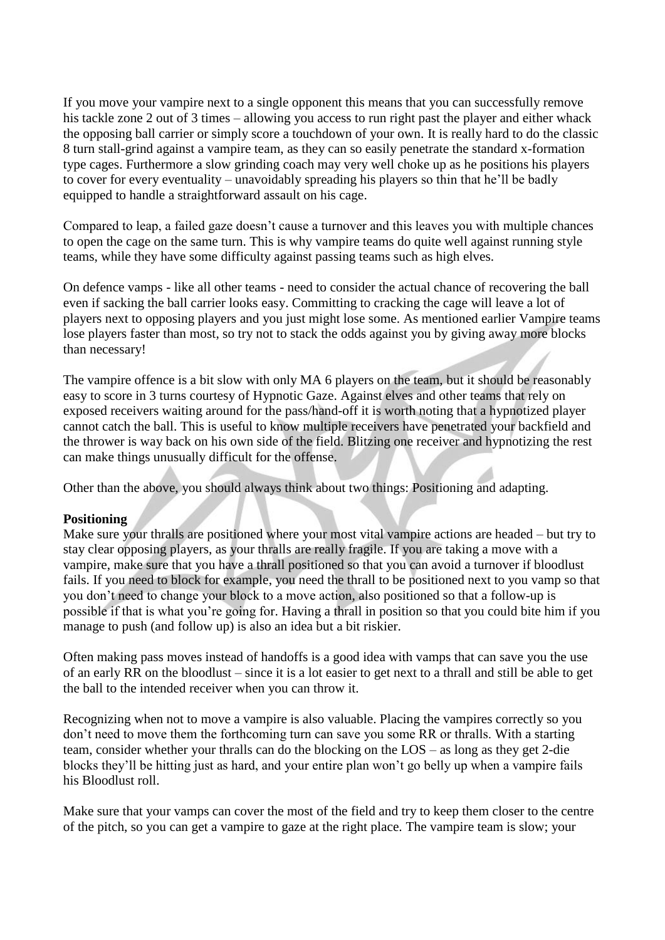If you move your vampire next to a single opponent this means that you can successfully remove his tackle zone 2 out of 3 times – allowing you access to run right past the player and either whack the opposing ball carrier or simply score a touchdown of your own. It is really hard to do the classic 8 turn stall-grind against a vampire team, as they can so easily penetrate the standard x-formation type cages. Furthermore a slow grinding coach may very well choke up as he positions his players to cover for every eventuality – unavoidably spreading his players so thin that he'll be badly equipped to handle a straightforward assault on his cage.

Compared to leap, a failed gaze doesn't cause a turnover and this leaves you with multiple chances to open the cage on the same turn. This is why vampire teams do quite well against running style teams, while they have some difficulty against passing teams such as high elves.

On defence vamps - like all other teams - need to consider the actual chance of recovering the ball even if sacking the ball carrier looks easy. Committing to cracking the cage will leave a lot of players next to opposing players and you just might lose some. As mentioned earlier Vampire teams lose players faster than most, so try not to stack the odds against you by giving away more blocks than necessary!

The vampire offence is a bit slow with only MA 6 players on the team, but it should be reasonably easy to score in 3 turns courtesy of Hypnotic Gaze. Against elves and other teams that rely on exposed receivers waiting around for the pass/hand-off it is worth noting that a hypnotized player cannot catch the ball. This is useful to know multiple receivers have penetrated your backfield and the thrower is way back on his own side of the field. Blitzing one receiver and hypnotizing the rest can make things unusually difficult for the offense.

Other than the above, you should always think about two things: Positioning and adapting.

# **Positioning**

Make sure your thralls are positioned where your most vital vampire actions are headed – but try to stay clear opposing players, as your thralls are really fragile. If you are taking a move with a vampire, make sure that you have a thrall positioned so that you can avoid a turnover if bloodlust fails. If you need to block for example, you need the thrall to be positioned next to you vamp so that you don't need to change your block to a move action, also positioned so that a follow-up is possible if that is what you're going for. Having a thrall in position so that you could bite him if you manage to push (and follow up) is also an idea but a bit riskier.

Often making pass moves instead of handoffs is a good idea with vamps that can save you the use of an early RR on the bloodlust – since it is a lot easier to get next to a thrall and still be able to get the ball to the intended receiver when you can throw it.

Recognizing when not to move a vampire is also valuable. Placing the vampires correctly so you don't need to move them the forthcoming turn can save you some RR or thralls. With a starting team, consider whether your thralls can do the blocking on the LOS – as long as they get 2-die blocks they'll be hitting just as hard, and your entire plan won't go belly up when a vampire fails his Bloodlust roll.

Make sure that your vamps can cover the most of the field and try to keep them closer to the centre of the pitch, so you can get a vampire to gaze at the right place. The vampire team is slow; your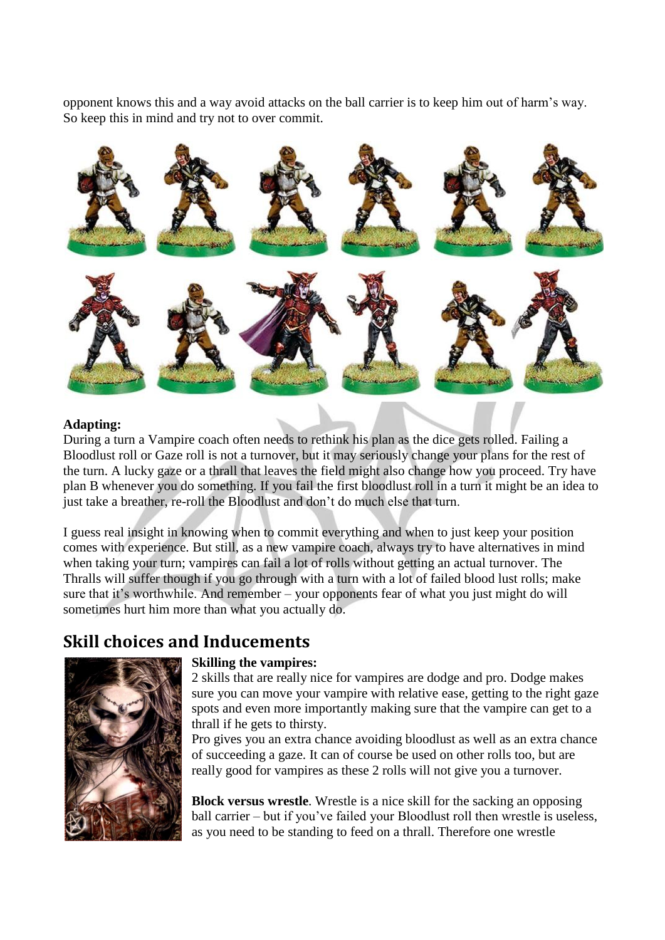opponent knows this and a way avoid attacks on the ball carrier is to keep him out of harm's way. So keep this in mind and try not to over commit.



# **Adapting:**

During a turn a Vampire coach often needs to rethink his plan as the dice gets rolled. Failing a Bloodlust roll or Gaze roll is not a turnover, but it may seriously change your plans for the rest of the turn. A lucky gaze or a thrall that leaves the field might also change how you proceed. Try have plan B whenever you do something. If you fail the first bloodlust roll in a turn it might be an idea to just take a breather, re-roll the Bloodlust and don't do much else that turn.

I guess real insight in knowing when to commit everything and when to just keep your position comes with experience. But still, as a new vampire coach, always try to have alternatives in mind when taking your turn; vampires can fail a lot of rolls without getting an actual turnover. The Thralls will suffer though if you go through with a turn with a lot of failed blood lust rolls; make sure that it's worthwhile. And remember – your opponents fear of what you just might do will sometimes hurt him more than what you actually do.

# **Skill choices and Inducements**



# **Skilling the vampires:**

2 skills that are really nice for vampires are dodge and pro. Dodge makes sure you can move your vampire with relative ease, getting to the right gaze spots and even more importantly making sure that the vampire can get to a thrall if he gets to thirsty.

Pro gives you an extra chance avoiding bloodlust as well as an extra chance of succeeding a gaze. It can of course be used on other rolls too, but are really good for vampires as these 2 rolls will not give you a turnover.

**Block versus wrestle**. Wrestle is a nice skill for the sacking an opposing ball carrier – but if you've failed your Bloodlust roll then wrestle is useless, as you need to be standing to feed on a thrall. Therefore one wrestle